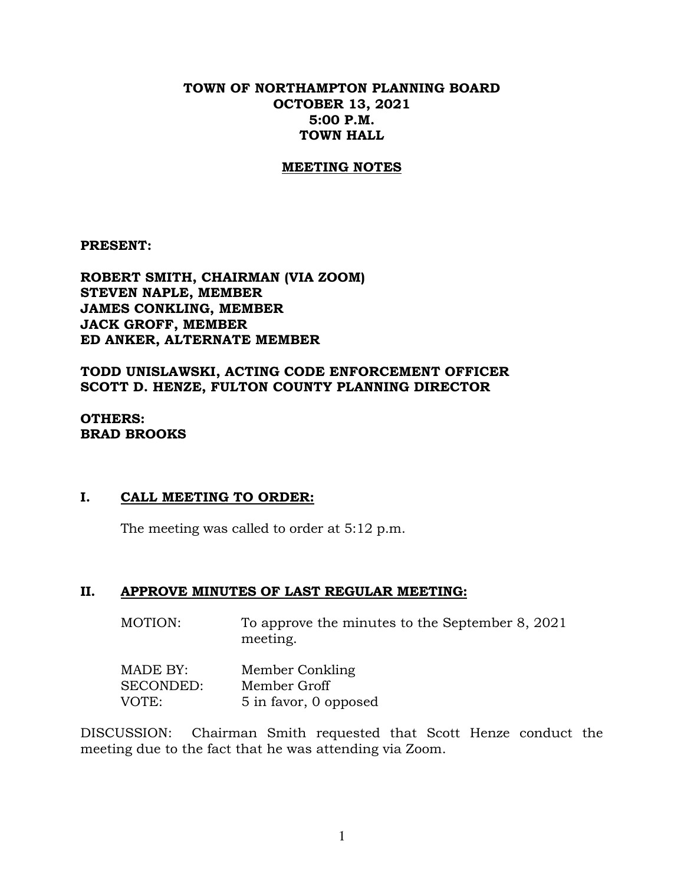### **TOWN OF NORTHAMPTON PLANNING BOARD OCTOBER 13, 2021 5:00 P.M. TOWN HALL**

#### **MEETING NOTES**

**PRESENT:**

**ROBERT SMITH, CHAIRMAN (VIA ZOOM) STEVEN NAPLE, MEMBER JAMES CONKLING, MEMBER JACK GROFF, MEMBER ED ANKER, ALTERNATE MEMBER**

**TODD UNISLAWSKI, ACTING CODE ENFORCEMENT OFFICER SCOTT D. HENZE, FULTON COUNTY PLANNING DIRECTOR**

**OTHERS: BRAD BROOKS**

#### **I. CALL MEETING TO ORDER:**

The meeting was called to order at 5:12 p.m.

#### **II. APPROVE MINUTES OF LAST REGULAR MEETING:**

MOTION: To approve the minutes to the September 8, 2021 meeting.

| MADE BY:  | Member Conkling       |
|-----------|-----------------------|
| SECONDED: | Member Groff          |
| VOTE:     | 5 in favor, 0 opposed |

DISCUSSION: Chairman Smith requested that Scott Henze conduct the meeting due to the fact that he was attending via Zoom.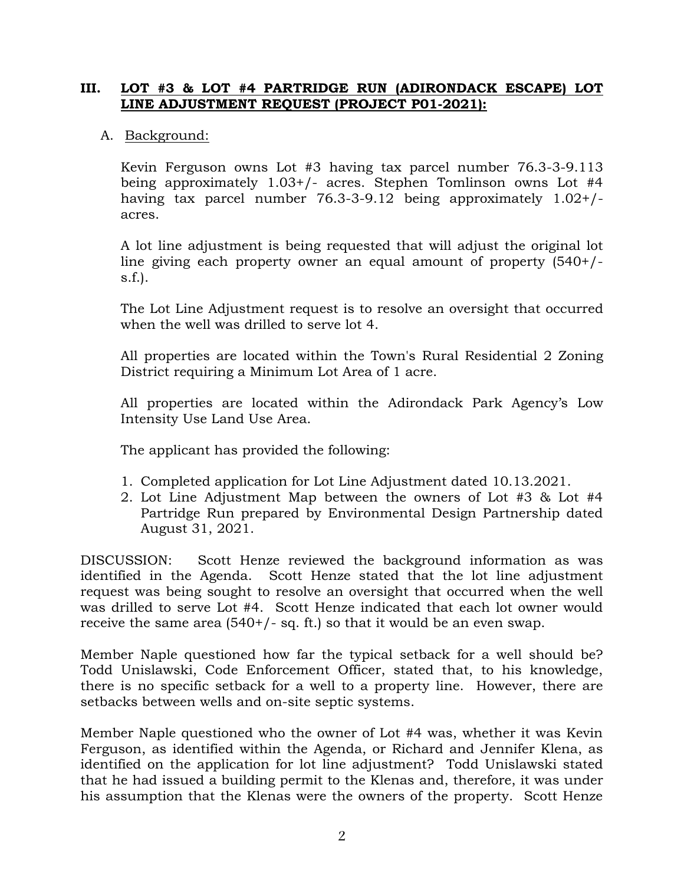# **III. LOT #3 & LOT #4 PARTRIDGE RUN (ADIRONDACK ESCAPE) LOT LINE ADJUSTMENT REQUEST (PROJECT P01-2021):**

# A. Background:

Kevin Ferguson owns Lot #3 having tax parcel number 76.3-3-9.113 being approximately 1.03+/- acres. Stephen Tomlinson owns Lot #4 having tax parcel number 76.3-3-9.12 being approximately 1.02+/ acres.

A lot line adjustment is being requested that will adjust the original lot line giving each property owner an equal amount of property (540+/ s.f.).

The Lot Line Adjustment request is to resolve an oversight that occurred when the well was drilled to serve lot 4.

All properties are located within the Town's Rural Residential 2 Zoning District requiring a Minimum Lot Area of 1 acre.

All properties are located within the Adirondack Park Agency's Low Intensity Use Land Use Area.

The applicant has provided the following:

- 1. Completed application for Lot Line Adjustment dated 10.13.2021.
- 2. Lot Line Adjustment Map between the owners of Lot #3 & Lot #4 Partridge Run prepared by Environmental Design Partnership dated August 31, 2021.

DISCUSSION: Scott Henze reviewed the background information as was identified in the Agenda. Scott Henze stated that the lot line adjustment request was being sought to resolve an oversight that occurred when the well was drilled to serve Lot #4. Scott Henze indicated that each lot owner would receive the same area (540+/- sq. ft.) so that it would be an even swap.

Member Naple questioned how far the typical setback for a well should be? Todd Unislawski, Code Enforcement Officer, stated that, to his knowledge, there is no specific setback for a well to a property line. However, there are setbacks between wells and on-site septic systems.

Member Naple questioned who the owner of Lot #4 was, whether it was Kevin Ferguson, as identified within the Agenda, or Richard and Jennifer Klena, as identified on the application for lot line adjustment? Todd Unislawski stated that he had issued a building permit to the Klenas and, therefore, it was under his assumption that the Klenas were the owners of the property. Scott Henze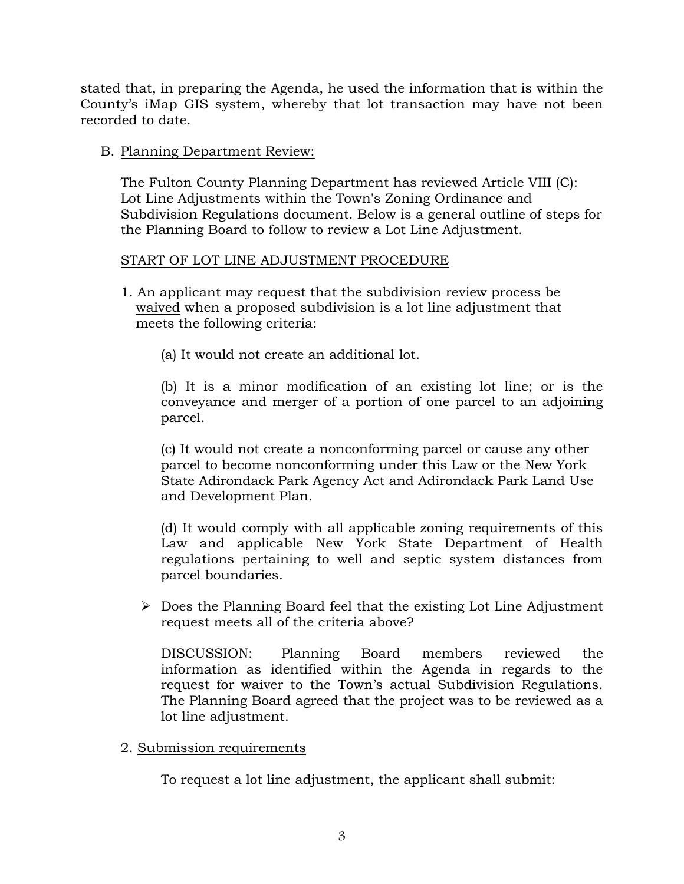stated that, in preparing the Agenda, he used the information that is within the County's iMap GIS system, whereby that lot transaction may have not been recorded to date.

# B. Planning Department Review:

The Fulton County Planning Department has reviewed Article VIII (C): Lot Line Adjustments within the Town's Zoning Ordinance and Subdivision Regulations document. Below is a general outline of steps for the Planning Board to follow to review a Lot Line Adjustment.

# START OF LOT LINE ADJUSTMENT PROCEDURE

- 1. An applicant may request that the subdivision review process be waived when a proposed subdivision is a lot line adjustment that meets the following criteria:
	- (a) It would not create an additional lot.

(b) It is a minor modification of an existing lot line; or is the conveyance and merger of a portion of one parcel to an adjoining parcel.

(c) It would not create a nonconforming parcel or cause any other parcel to become nonconforming under this Law or the New York State Adirondack Park Agency Act and Adirondack Park Land Use and Development Plan.

(d) It would comply with all applicable zoning requirements of this Law and applicable New York State Department of Health regulations pertaining to well and septic system distances from parcel boundaries.

 $\triangleright$  Does the Planning Board feel that the existing Lot Line Adjustment request meets all of the criteria above?

DISCUSSION: Planning Board members reviewed the information as identified within the Agenda in regards to the request for waiver to the Town's actual Subdivision Regulations. The Planning Board agreed that the project was to be reviewed as a lot line adjustment.

2. Submission requirements

To request a lot line adjustment, the applicant shall submit: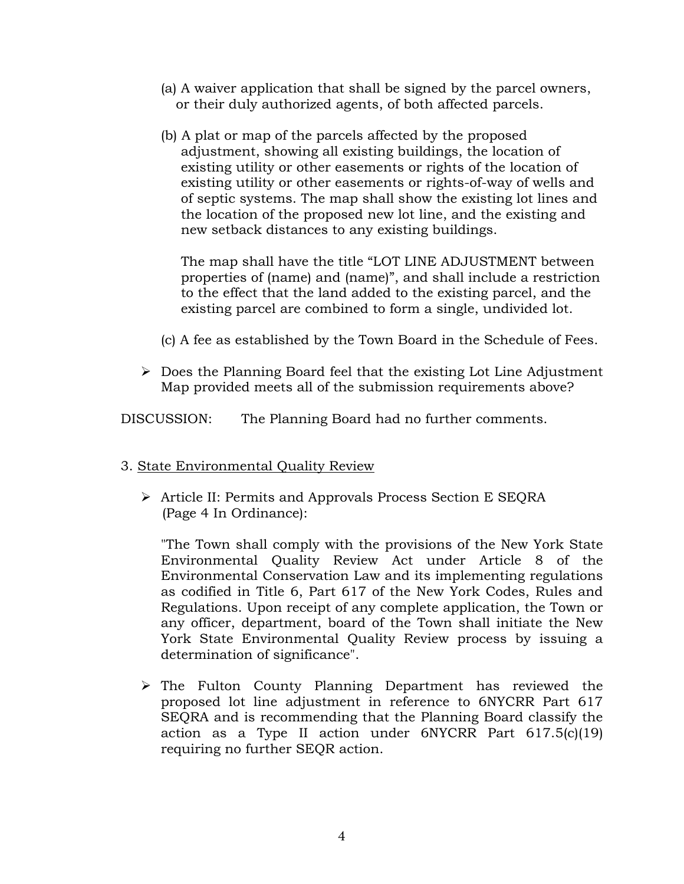- (a) A waiver application that shall be signed by the parcel owners, or their duly authorized agents, of both affected parcels.
- (b) A plat or map of the parcels affected by the proposed adjustment, showing all existing buildings, the location of existing utility or other easements or rights of the location of existing utility or other easements or rights-of-way of wells and of septic systems. The map shall show the existing lot lines and the location of the proposed new lot line, and the existing and new setback distances to any existing buildings.

The map shall have the title "LOT LINE ADJUSTMENT between properties of (name) and (name)", and shall include a restriction to the effect that the land added to the existing parcel, and the existing parcel are combined to form a single, undivided lot.

- (c) A fee as established by the Town Board in the Schedule of Fees.
- $\triangleright$  Does the Planning Board feel that the existing Lot Line Adjustment Map provided meets all of the submission requirements above?

DISCUSSION: The Planning Board had no further comments.

- 3. State Environmental Quality Review
	- Article II: Permits and Approvals Process Section E SEQRA (Page 4 In Ordinance):

"The Town shall comply with the provisions of the New York State Environmental Quality Review Act under Article 8 of the Environmental Conservation Law and its implementing regulations as codified in Title 6, Part 617 of the New York Codes, Rules and Regulations. Upon receipt of any complete application, the Town or any officer, department, board of the Town shall initiate the New York State Environmental Quality Review process by issuing a determination of significance".

 $\triangleright$  The Fulton County Planning Department has reviewed the proposed lot line adjustment in reference to 6NYCRR Part 617 SEQRA and is recommending that the Planning Board classify the action as a Type II action under 6NYCRR Part 617.5(c)(19) requiring no further SEQR action.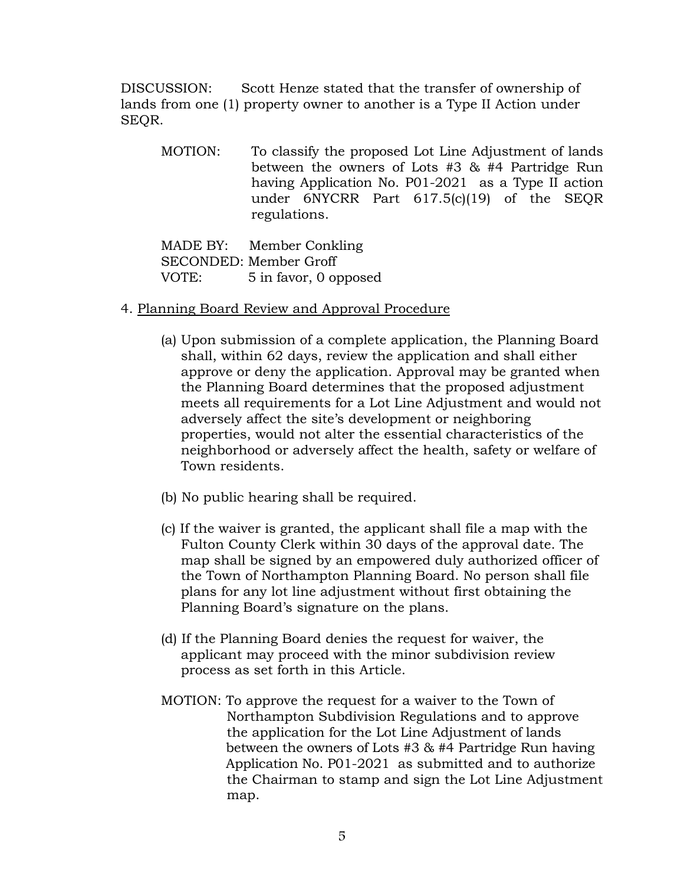DISCUSSION: Scott Henze stated that the transfer of ownership of lands from one (1) property owner to another is a Type II Action under SEQR.

MOTION: To classify the proposed Lot Line Adjustment of lands between the owners of Lots #3 & #4 Partridge Run having Application No. P01-2021 as a Type II action under 6NYCRR Part 617.5(c)(19) of the SEQR regulations.

MADE BY: Member Conkling SECONDED: Member Groff VOTE: 5 in favor, 0 opposed

### 4. Planning Board Review and Approval Procedure

- (a) Upon submission of a complete application, the Planning Board shall, within 62 days, review the application and shall either approve or deny the application. Approval may be granted when the Planning Board determines that the proposed adjustment meets all requirements for a Lot Line Adjustment and would not adversely affect the site's development or neighboring properties, would not alter the essential characteristics of the neighborhood or adversely affect the health, safety or welfare of Town residents.
- (b) No public hearing shall be required.
- (c) If the waiver is granted, the applicant shall file a map with the Fulton County Clerk within 30 days of the approval date. The map shall be signed by an empowered duly authorized officer of the Town of Northampton Planning Board. No person shall file plans for any lot line adjustment without first obtaining the Planning Board's signature on the plans.
- (d) If the Planning Board denies the request for waiver, the applicant may proceed with the minor subdivision review process as set forth in this Article.
- MOTION: To approve the request for a waiver to the Town of Northampton Subdivision Regulations and to approve the application for the Lot Line Adjustment of lands between the owners of Lots #3 & #4 Partridge Run having Application No. P01-2021 as submitted and to authorize the Chairman to stamp and sign the Lot Line Adjustment map.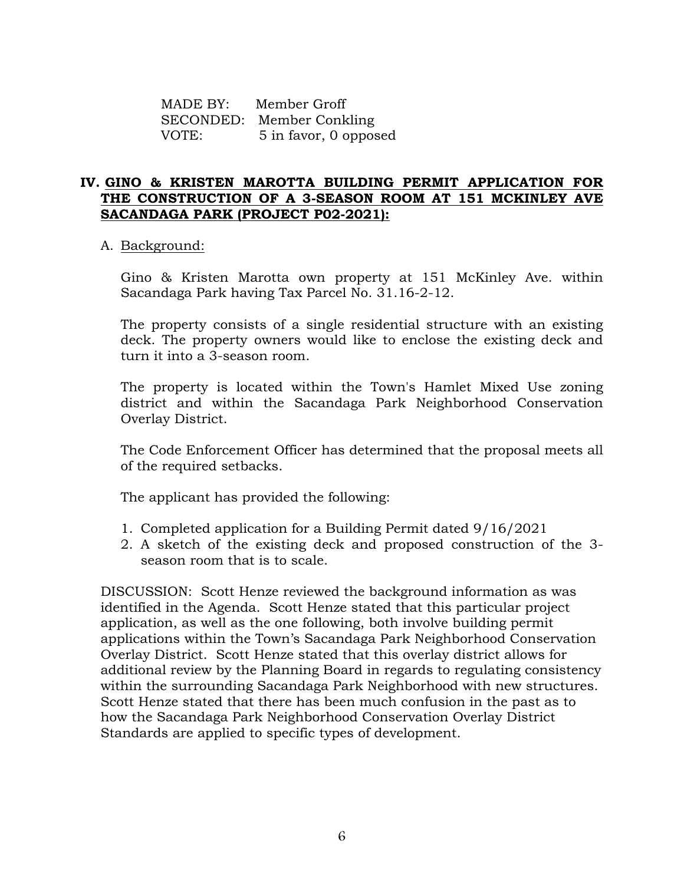MADE BY: Member Groff SECONDED: Member Conkling VOTE: 5 in favor, 0 opposed

# **IV. GINO & KRISTEN MAROTTA BUILDING PERMIT APPLICATION FOR THE CONSTRUCTION OF A 3-SEASON ROOM AT 151 MCKINLEY AVE SACANDAGA PARK (PROJECT P02-2021):**

### A. Background:

Gino & Kristen Marotta own property at 151 McKinley Ave. within Sacandaga Park having Tax Parcel No. 31.16-2-12.

The property consists of a single residential structure with an existing deck. The property owners would like to enclose the existing deck and turn it into a 3-season room.

The property is located within the Town's Hamlet Mixed Use zoning district and within the Sacandaga Park Neighborhood Conservation Overlay District.

The Code Enforcement Officer has determined that the proposal meets all of the required setbacks.

The applicant has provided the following:

- 1. Completed application for a Building Permit dated 9/16/2021
- 2. A sketch of the existing deck and proposed construction of the 3 season room that is to scale.

DISCUSSION: Scott Henze reviewed the background information as was identified in the Agenda. Scott Henze stated that this particular project application, as well as the one following, both involve building permit applications within the Town's Sacandaga Park Neighborhood Conservation Overlay District. Scott Henze stated that this overlay district allows for additional review by the Planning Board in regards to regulating consistency within the surrounding Sacandaga Park Neighborhood with new structures. Scott Henze stated that there has been much confusion in the past as to how the Sacandaga Park Neighborhood Conservation Overlay District Standards are applied to specific types of development.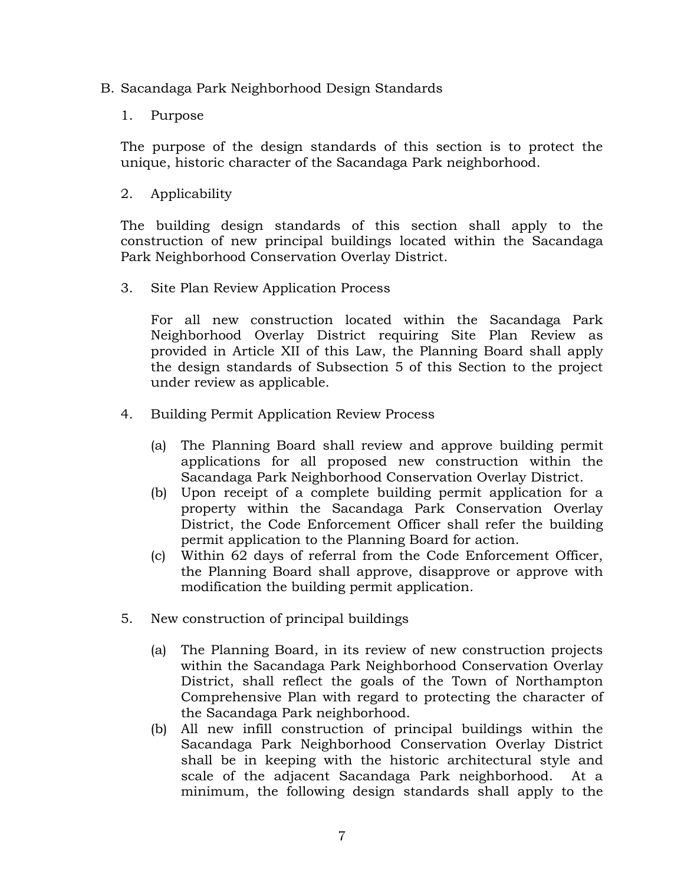- B. Sacandaga Park Neighborhood Design Standards
	- 1. Purpose

The purpose of the design standards of this section is to protect the unique, historic character of the Sacandaga Park neighborhood.

2. Applicability

The building design standards of this section shall apply to the construction of new principal buildings located within the Sacandaga Park Neighborhood Conservation Overlay District.

3. Site Plan Review Application Process

For all new construction located within the Sacandaga Park Neighborhood Overlay District requiring Site Plan Review as provided in Article XII of this Law, the Planning Board shall apply the design standards of Subsection 5 of this Section to the project under review as applicable.

- 4. Building Permit Application Review Process
	- (a) The Planning Board shall review and approve building permit applications for all proposed new construction within the Sacandaga Park Neighborhood Conservation Overlay District.
	- (b) Upon receipt of a complete building permit application for a property within the Sacandaga Park Conservation Overlay District, the Code Enforcement Officer shall refer the building permit application to the Planning Board for action.
	- (c) Within 62 days of referral from the Code Enforcement Officer, the Planning Board shall approve, disapprove or approve with modification the building permit application.
- 5. New construction of principal buildings
	- (a) The Planning Board, in its review of new construction projects within the Sacandaga Park Neighborhood Conservation Overlay District, shall reflect the goals of the Town of Northampton Comprehensive Plan with regard to protecting the character of the Sacandaga Park neighborhood.
	- (b) All new infill construction of principal buildings within the Sacandaga Park Neighborhood Conservation Overlay District shall be in keeping with the historic architectural style and scale of the adjacent Sacandaga Park neighborhood. At a minimum, the following design standards shall apply to the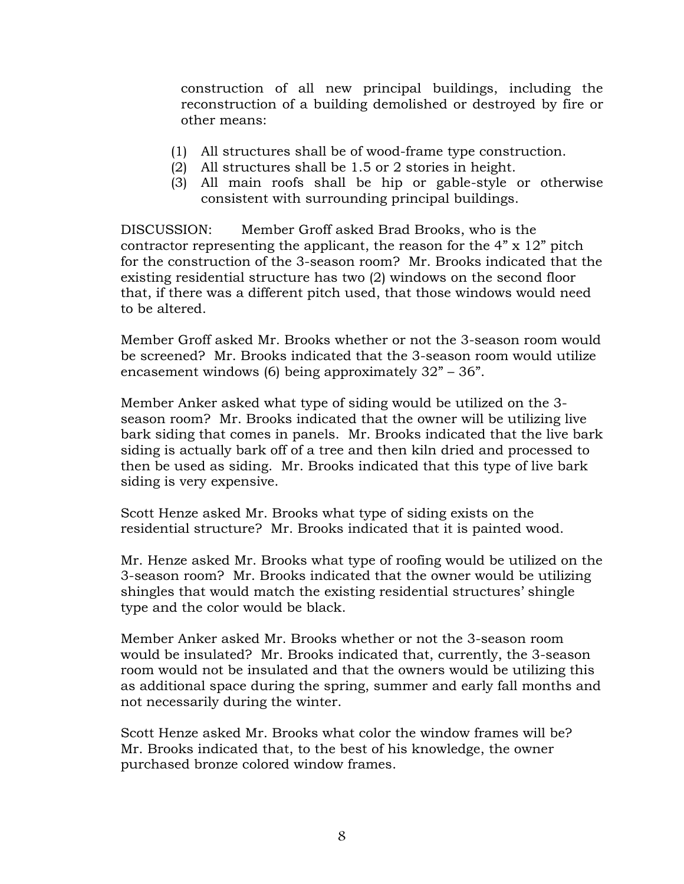construction of all new principal buildings, including the reconstruction of a building demolished or destroyed by fire or other means:

- (1) All structures shall be of wood-frame type construction.
- (2) All structures shall be 1.5 or 2 stories in height.
- (3) All main roofs shall be hip or gable-style or otherwise consistent with surrounding principal buildings.

DISCUSSION: Member Groff asked Brad Brooks, who is the contractor representing the applicant, the reason for the 4" x 12" pitch for the construction of the 3-season room? Mr. Brooks indicated that the existing residential structure has two (2) windows on the second floor that, if there was a different pitch used, that those windows would need to be altered.

Member Groff asked Mr. Brooks whether or not the 3-season room would be screened? Mr. Brooks indicated that the 3-season room would utilize encasement windows (6) being approximately 32" – 36".

Member Anker asked what type of siding would be utilized on the 3 season room? Mr. Brooks indicated that the owner will be utilizing live bark siding that comes in panels. Mr. Brooks indicated that the live bark siding is actually bark off of a tree and then kiln dried and processed to then be used as siding. Mr. Brooks indicated that this type of live bark siding is very expensive.

Scott Henze asked Mr. Brooks what type of siding exists on the residential structure? Mr. Brooks indicated that it is painted wood.

Mr. Henze asked Mr. Brooks what type of roofing would be utilized on the 3-season room? Mr. Brooks indicated that the owner would be utilizing shingles that would match the existing residential structures' shingle type and the color would be black.

Member Anker asked Mr. Brooks whether or not the 3-season room would be insulated? Mr. Brooks indicated that, currently, the 3-season room would not be insulated and that the owners would be utilizing this as additional space during the spring, summer and early fall months and not necessarily during the winter.

Scott Henze asked Mr. Brooks what color the window frames will be? Mr. Brooks indicated that, to the best of his knowledge, the owner purchased bronze colored window frames.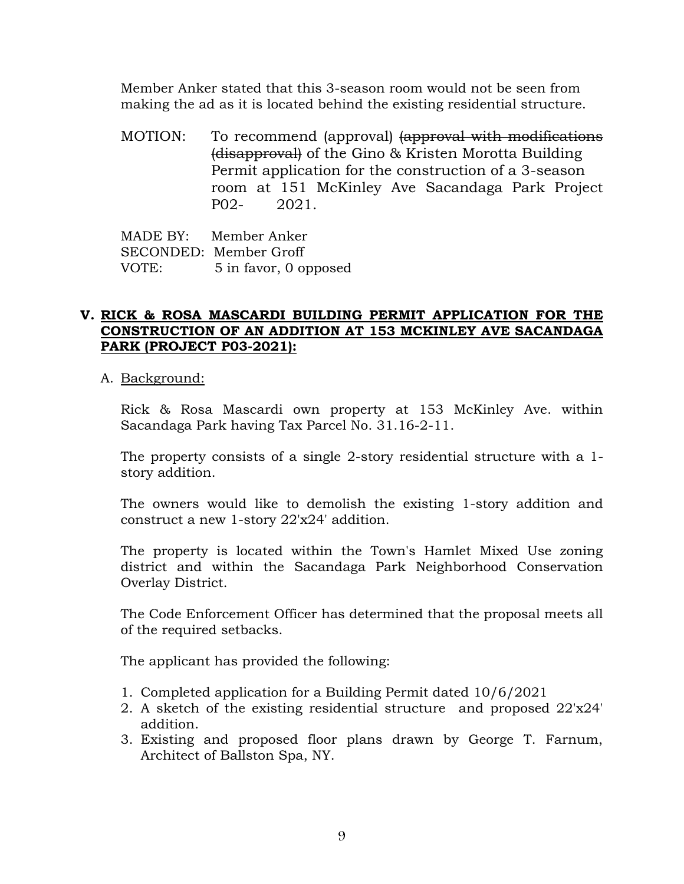Member Anker stated that this 3-season room would not be seen from making the ad as it is located behind the existing residential structure.

MOTION: To recommend (approval) (approval with modifications (disapproval) of the Gino & Kristen Morotta Building Permit application for the construction of a 3-season room at 151 McKinley Ave Sacandaga Park Project P02- 2021.

MADE BY: Member Anker SECONDED: Member Groff VOTE: 5 in favor, 0 opposed

# **V. RICK & ROSA MASCARDI BUILDING PERMIT APPLICATION FOR THE CONSTRUCTION OF AN ADDITION AT 153 MCKINLEY AVE SACANDAGA PARK (PROJECT P03-2021):**

A. Background:

Rick & Rosa Mascardi own property at 153 McKinley Ave. within Sacandaga Park having Tax Parcel No. 31.16-2-11.

The property consists of a single 2-story residential structure with a 1 story addition.

The owners would like to demolish the existing 1-story addition and construct a new 1-story 22'x24' addition.

The property is located within the Town's Hamlet Mixed Use zoning district and within the Sacandaga Park Neighborhood Conservation Overlay District.

The Code Enforcement Officer has determined that the proposal meets all of the required setbacks.

The applicant has provided the following:

- 1. Completed application for a Building Permit dated 10/6/2021
- 2. A sketch of the existing residential structure and proposed 22'x24' addition.
- 3. Existing and proposed floor plans drawn by George T. Farnum, Architect of Ballston Spa, NY.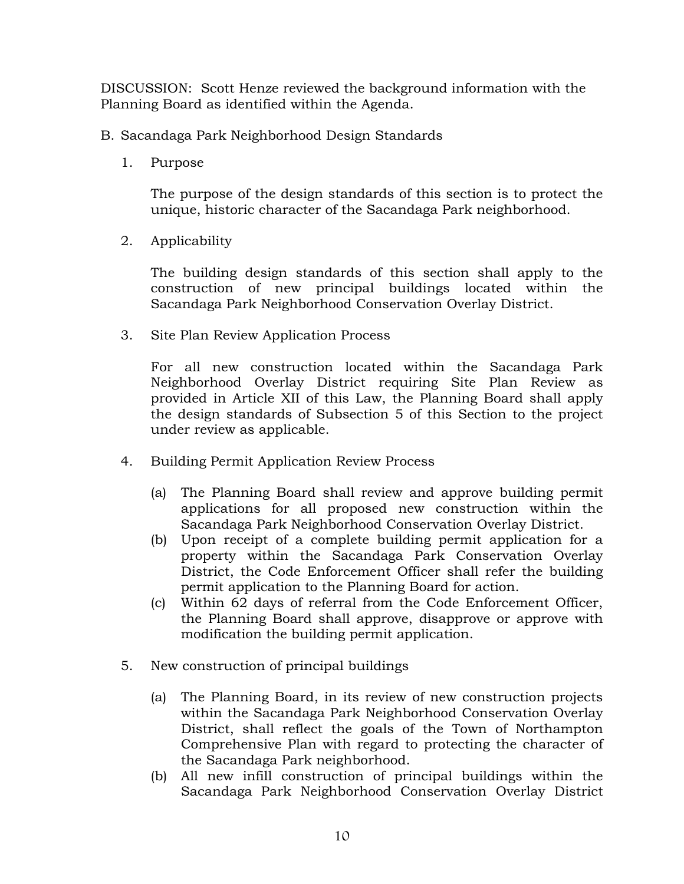DISCUSSION: Scott Henze reviewed the background information with the Planning Board as identified within the Agenda.

- B. Sacandaga Park Neighborhood Design Standards
	- 1. Purpose

The purpose of the design standards of this section is to protect the unique, historic character of the Sacandaga Park neighborhood.

2. Applicability

The building design standards of this section shall apply to the construction of new principal buildings located within the Sacandaga Park Neighborhood Conservation Overlay District.

3. Site Plan Review Application Process

For all new construction located within the Sacandaga Park Neighborhood Overlay District requiring Site Plan Review as provided in Article XII of this Law, the Planning Board shall apply the design standards of Subsection 5 of this Section to the project under review as applicable.

- 4. Building Permit Application Review Process
	- (a) The Planning Board shall review and approve building permit applications for all proposed new construction within the Sacandaga Park Neighborhood Conservation Overlay District.
	- (b) Upon receipt of a complete building permit application for a property within the Sacandaga Park Conservation Overlay District, the Code Enforcement Officer shall refer the building permit application to the Planning Board for action.
	- (c) Within 62 days of referral from the Code Enforcement Officer, the Planning Board shall approve, disapprove or approve with modification the building permit application.
- 5. New construction of principal buildings
	- (a) The Planning Board, in its review of new construction projects within the Sacandaga Park Neighborhood Conservation Overlay District, shall reflect the goals of the Town of Northampton Comprehensive Plan with regard to protecting the character of the Sacandaga Park neighborhood.
	- (b) All new infill construction of principal buildings within the Sacandaga Park Neighborhood Conservation Overlay District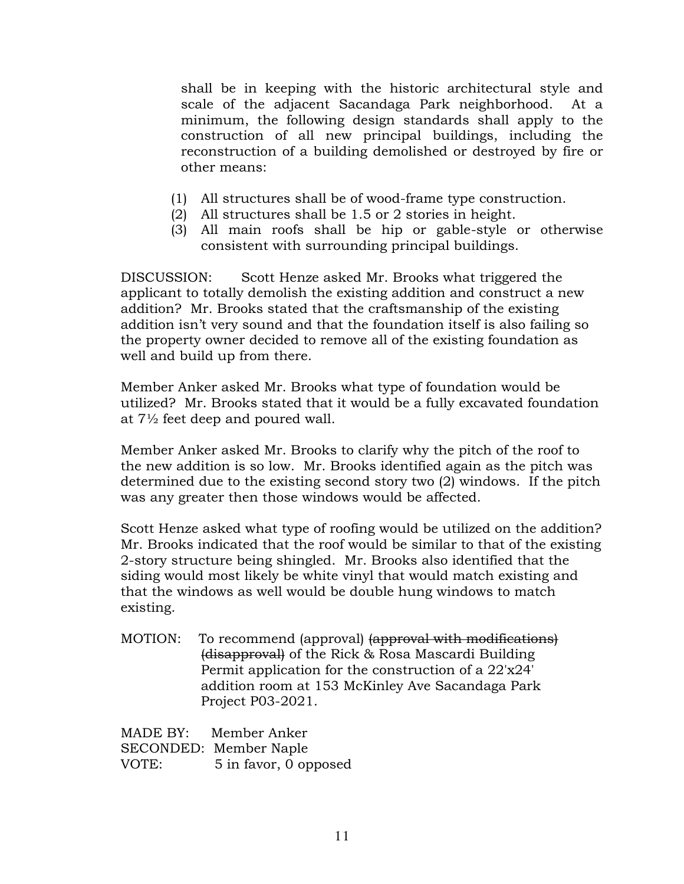shall be in keeping with the historic architectural style and scale of the adjacent Sacandaga Park neighborhood. At a minimum, the following design standards shall apply to the construction of all new principal buildings, including the reconstruction of a building demolished or destroyed by fire or other means:

- (1) All structures shall be of wood-frame type construction.
- (2) All structures shall be 1.5 or 2 stories in height.
- (3) All main roofs shall be hip or gable-style or otherwise consistent with surrounding principal buildings.

DISCUSSION: Scott Henze asked Mr. Brooks what triggered the applicant to totally demolish the existing addition and construct a new addition? Mr. Brooks stated that the craftsmanship of the existing addition isn't very sound and that the foundation itself is also failing so the property owner decided to remove all of the existing foundation as well and build up from there.

Member Anker asked Mr. Brooks what type of foundation would be utilized? Mr. Brooks stated that it would be a fully excavated foundation at 7½ feet deep and poured wall.

Member Anker asked Mr. Brooks to clarify why the pitch of the roof to the new addition is so low. Mr. Brooks identified again as the pitch was determined due to the existing second story two (2) windows. If the pitch was any greater then those windows would be affected.

Scott Henze asked what type of roofing would be utilized on the addition? Mr. Brooks indicated that the roof would be similar to that of the existing 2-story structure being shingled. Mr. Brooks also identified that the siding would most likely be white vinyl that would match existing and that the windows as well would be double hung windows to match existing.

MOTION: To recommend (approval) (approval with modifications) (disapproval) of the Rick & Rosa Mascardi Building Permit application for the construction of a 22'x24' addition room at 153 McKinley Ave Sacandaga Park Project P03-2021.

MADE BY: Member Anker SECONDED: Member Naple VOTE: 5 in favor, 0 opposed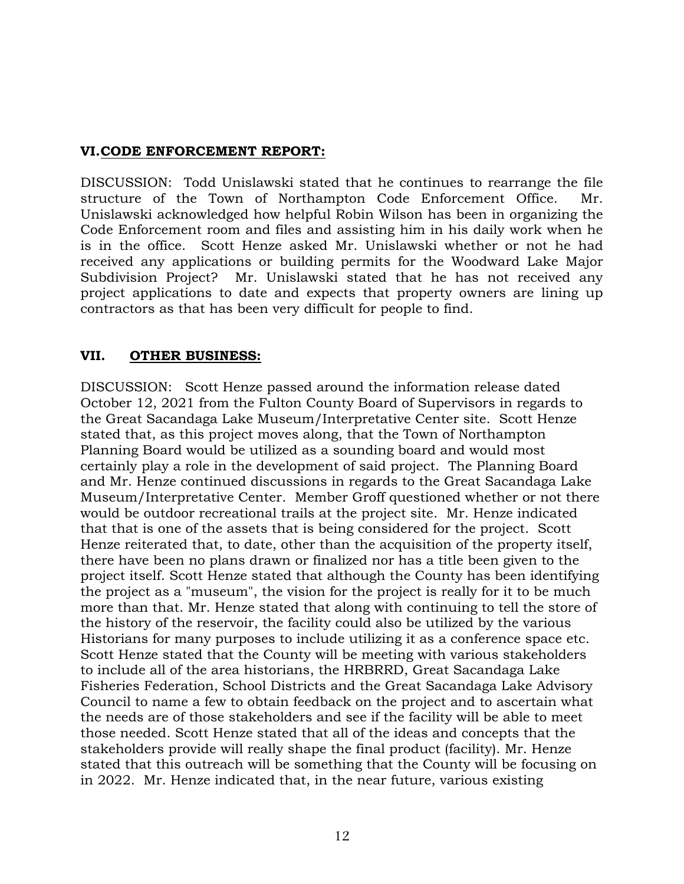# **VI.CODE ENFORCEMENT REPORT:**

DISCUSSION: Todd Unislawski stated that he continues to rearrange the file structure of the Town of Northampton Code Enforcement Office. Mr. Unislawski acknowledged how helpful Robin Wilson has been in organizing the Code Enforcement room and files and assisting him in his daily work when he is in the office. Scott Henze asked Mr. Unislawski whether or not he had received any applications or building permits for the Woodward Lake Major Subdivision Project? Mr. Unislawski stated that he has not received any project applications to date and expects that property owners are lining up contractors as that has been very difficult for people to find.

# **VII. OTHER BUSINESS:**

DISCUSSION: Scott Henze passed around the information release dated October 12, 2021 from the Fulton County Board of Supervisors in regards to the Great Sacandaga Lake Museum/Interpretative Center site. Scott Henze stated that, as this project moves along, that the Town of Northampton Planning Board would be utilized as a sounding board and would most certainly play a role in the development of said project. The Planning Board and Mr. Henze continued discussions in regards to the Great Sacandaga Lake Museum/Interpretative Center. Member Groff questioned whether or not there would be outdoor recreational trails at the project site. Mr. Henze indicated that that is one of the assets that is being considered for the project. Scott Henze reiterated that, to date, other than the acquisition of the property itself, there have been no plans drawn or finalized nor has a title been given to the project itself. Scott Henze stated that although the County has been identifying the project as a "museum", the vision for the project is really for it to be much more than that. Mr. Henze stated that along with continuing to tell the store of the history of the reservoir, the facility could also be utilized by the various Historians for many purposes to include utilizing it as a conference space etc. Scott Henze stated that the County will be meeting with various stakeholders to include all of the area historians, the HRBRRD, Great Sacandaga Lake Fisheries Federation, School Districts and the Great Sacandaga Lake Advisory Council to name a few to obtain feedback on the project and to ascertain what the needs are of those stakeholders and see if the facility will be able to meet those needed. Scott Henze stated that all of the ideas and concepts that the stakeholders provide will really shape the final product (facility). Mr. Henze stated that this outreach will be something that the County will be focusing on in 2022. Mr. Henze indicated that, in the near future, various existing